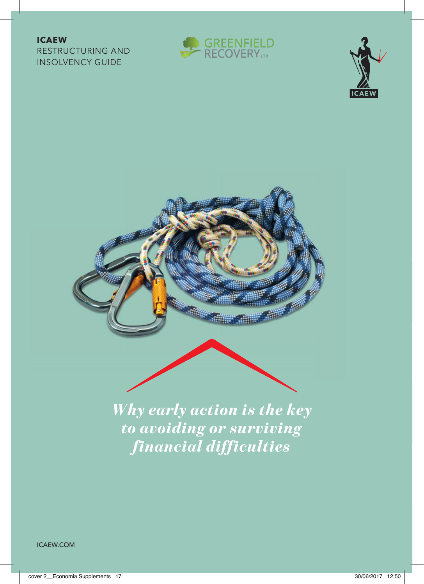## **ICAEW**

RESTRUCTURING AND INSOLVENCY GUIDE







*Why early action is the key to avoiding or surviving financial difficulties*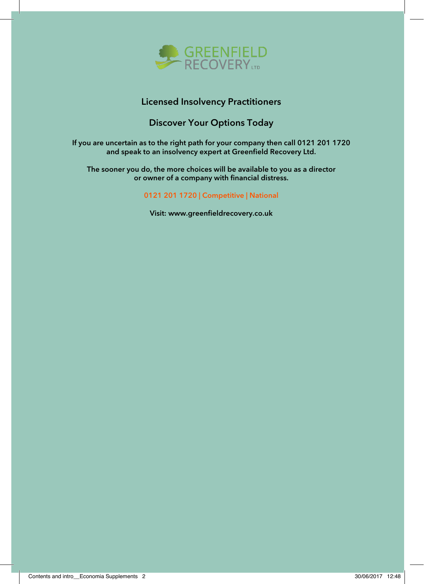

## Licensed Insolvency Practitioners

## Discover Your Options Today

If you are uncertain as to the right path for your company then call 0121 201 1720 and speak to an insolvency expert at Greenfield Recovery Ltd.

The sooner you do, the more choices will be available to you as a director or owner of a company with financial distress.

0121 201 1720 | Competitive | National

Visit: www.greenfieldrecovery.co.uk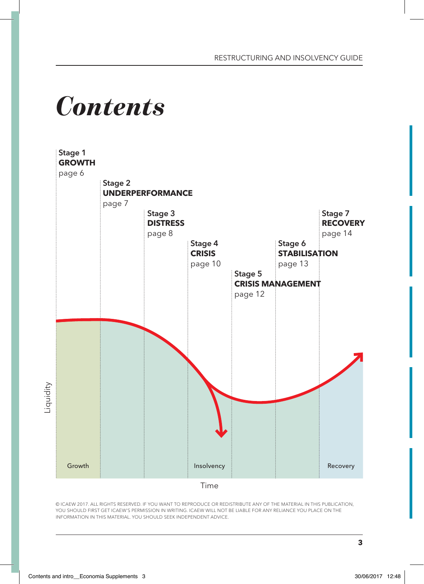## *Contents*



© ICAEW 2017. ALL RIGHTS RESERVED. IF YOU WANT TO REPRODUCE OR REDISTRIBUTE ANY OF THE MATERIAL IN THIS PUBLICATION, YOU SHOULD FIRST GET ICAEW'S PERMISSION IN WRITING. ICAEW WILL NOT BE LIABLE FOR ANY RELIANCE YOU PLACE ON THE INFORMATION IN THIS MATERIAL. YOU SHOULD SEEK INDEPENDENT ADVICE.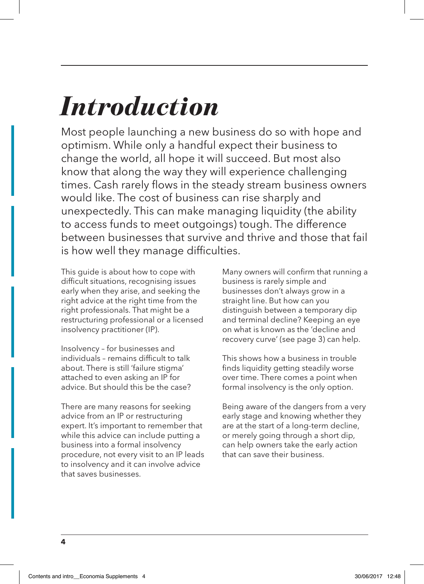## *Introduction*

Most people launching a new business do so with hope and optimism. While only a handful expect their business to change the world, all hope it will succeed. But most also know that along the way they will experience challenging times. Cash rarely flows in the steady stream business owners would like. The cost of business can rise sharply and unexpectedly. This can make managing liquidity (the ability to access funds to meet outgoings) tough. The difference between businesses that survive and thrive and those that fail is how well they manage difficulties.

This guide is about how to cope with difficult situations, recognising issues early when they arise, and seeking the right advice at the right time from the right professionals. That might be a restructuring professional or a licensed insolvency practitioner (IP).

Insolvency – for businesses and individuals – remains difficult to talk about. There is still 'failure stigma' attached to even asking an IP for advice. But should this be the case?

There are many reasons for seeking advice from an IP or restructuring expert. It's important to remember that while this advice can include putting a business into a formal insolvency procedure, not every visit to an IP leads to insolvency and it can involve advice that saves businesses.

Many owners will confirm that running a business is rarely simple and businesses don't always grow in a straight line. But how can you distinguish between a temporary dip and terminal decline? Keeping an eye on what is known as the 'decline and recovery curve' (see page 3) can help.

This shows how a business in trouble finds liquidity getting steadily worse over time. There comes a point when formal insolvency is the only option.

Being aware of the dangers from a very early stage and knowing whether they are at the start of a long-term decline, or merely going through a short dip, can help owners take the early action that can save their business.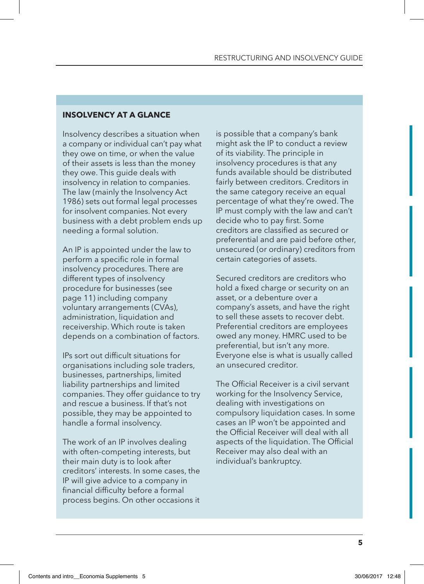## **INSOLVENCY AT A GLANCE**

Insolvency describes a situation when a company or individual can't pay what they owe on time, or when the value of their assets is less than the money they owe. This quide deals with insolvency in relation to companies. The law (mainly the Insolvency Act 1986) sets out formal legal processes for insolvent companies. Not every business with a debt problem ends up needing a formal solution.

An IP is appointed under the law to perform a specific role in formal insolvency procedures. There are different types of insolvency procedure for businesses (see page 11) including company voluntary arrangements (CVAs), administration, liquidation and receivership. Which route is taken depends on a combination of factors.

IPs sort out difficult situations for organisations including sole traders, businesses, partnerships, limited liability partnerships and limited companies. They offer guidance to try and rescue a business. If that's not possible, they may be appointed to handle a formal insolvency.

The work of an IP involves dealing with often-competing interests, but their main duty is to look after creditors' interests. In some cases, the IP will give advice to a company in financial difficulty before a formal process begins. On other occasions it is possible that a company's bank might ask the IP to conduct a review of its viability. The principle in insolvency procedures is that any funds available should be distributed fairly between creditors. Creditors in the same category receive an equal percentage of what they're owed. The IP must comply with the law and can't decide who to pay first. Some creditors are classified as secured or preferential and are paid before other, unsecured (or ordinary) creditors from certain categories of assets.

Secured creditors are creditors who hold a fixed charge or security on an asset, or a debenture over a company's assets, and have the right to sell these assets to recover debt. Preferential creditors are employees owed any money. HMRC used to be preferential, but isn't any more. Everyone else is what is usually called an unsecured creditor.

The Official Receiver is a civil servant working for the Insolvency Service, dealing with investigations on compulsory liquidation cases. In some cases an IP won't be appointed and the Official Receiver will deal with all aspects of the liquidation. The Official Receiver may also deal with an individual's bankruptcy.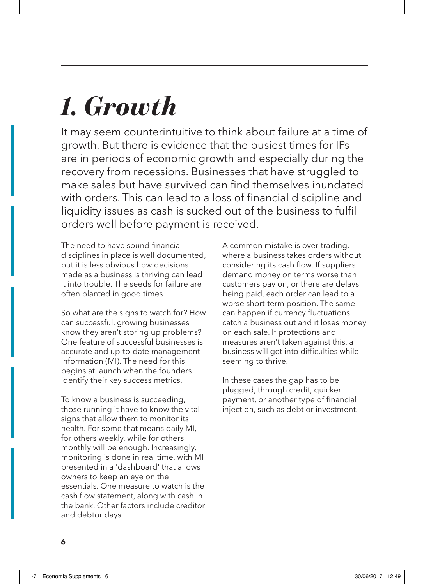## *1. Growth*

It may seem counterintuitive to think about failure at a time of growth. But there is evidence that the busiest times for IPs are in periods of economic growth and especially during the recovery from recessions. Businesses that have struggled to make sales but have survived can find themselves inundated with orders. This can lead to a loss of financial discipline and liquidity issues as cash is sucked out of the business to fulfil orders well before payment is received.

The need to have sound financial disciplines in place is well documented, but it is less obvious how decisions made as a business is thriving can lead it into trouble. The seeds for failure are often planted in good times.

So what are the signs to watch for? How can successful, growing businesses know they aren't storing up problems? One feature of successful businesses is accurate and up-to-date management information (MI). The need for this begins at launch when the founders identify their key success metrics.

To know a business is succeeding, those running it have to know the vital signs that allow them to monitor its health. For some that means daily MI, for others weekly, while for others monthly will be enough. Increasingly, monitoring is done in real time, with MI presented in a 'dashboard' that allows owners to keep an eye on the essentials. One measure to watch is the cash flow statement, along with cash in the bank. Other factors include creditor and debtor days.

A common mistake is over-trading, where a business takes orders without considering its cash flow. If suppliers demand money on terms worse than customers pay on, or there are delays being paid, each order can lead to a worse short-term position. The same can happen if currency fluctuations catch a business out and it loses money on each sale. If protections and measures aren't taken against this, a business will get into difficulties while seeming to thrive.

In these cases the gap has to be plugged, through credit, quicker payment, or another type of financial injection, such as debt or investment.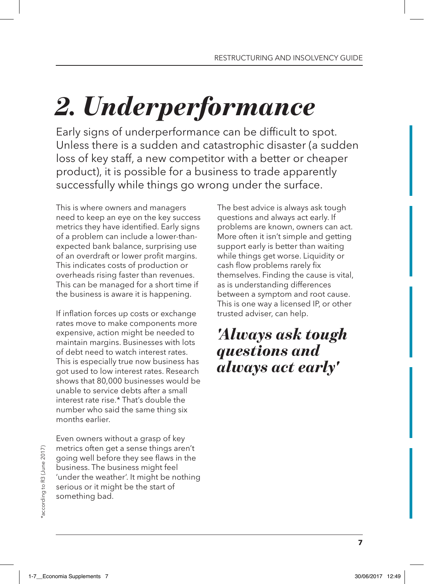# *2. Underperformance*

Early signs of underperformance can be difficult to spot. Unless there is a sudden and catastrophic disaster (a sudden loss of key staff, a new competitor with a better or cheaper product), it is possible for a business to trade apparently successfully while things go wrong under the surface.

This is where owners and managers need to keep an eye on the key success metrics they have identified. Early signs of a problem can include a lower-thanexpected bank balance, surprising use of an overdraft or lower profit margins. This indicates costs of production or overheads rising faster than revenues. This can be managed for a short time if the business is aware it is happening.

If inflation forces up costs or exchange rates move to make components more expensive, action might be needed to maintain margins. Businesses with lots of debt need to watch interest rates. This is especially true now business has got used to low interest rates. Research shows that 80,000 businesses would be unable to service debts after a small interest rate rise.<sup>\*</sup> That's double the number who said the same thing six months earlier.

Even owners without a grasp of key metrics often get a sense things aren't going well before they see flaws in the business. The business might feel 'under the weather'. It might be nothing serious or it might be the start of something bad.

The best advice is always ask tough questions and always act early. If problems are known, owners can act. More often it isn't simple and getting support early is better than waiting while things get worse. Liquidity or cash flow problems rarely fix themselves. Finding the cause is vital, as is understanding differences between a symptom and root cause. This is one way a licensed IP, or other trusted adviser, can help.

## *'Always ask tough questions and always act early'*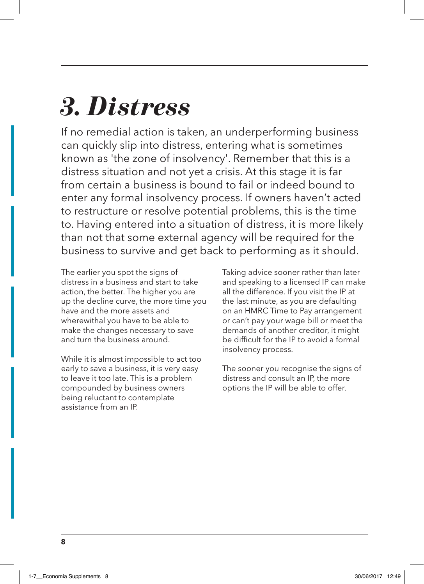## *3. Distress*

If no remedial action is taken, an underperforming business can quickly slip into distress, entering what is sometimes known as 'the zone of insolvency'. Remember that this is a distress situation and not yet a crisis. At this stage it is far from certain a business is bound to fail or indeed bound to enter any formal insolvency process. If owners haven't acted to restructure or resolve potential problems, this is the time to. Having entered into a situation of distress, it is more likely than not that some external agency will be required for the business to survive and get back to performing as it should.

The earlier you spot the signs of distress in a business and start to take action, the better. The higher you are up the decline curve, the more time you have and the more assets and wherewithal you have to be able to make the changes necessary to save and turn the business around.

While it is almost impossible to act too early to save a business, it is very easy to leave it too late. This is a problem compounded by business owners being reluctant to contemplate assistance from an IP.

Taking advice sooner rather than later and speaking to a licensed IP can make all the difference. If you visit the IP at the last minute, as you are defaulting on an HMRC Time to Pay arrangement or can't pay your wage bill or meet the demands of another creditor, it might be difficult for the IP to avoid a formal insolvency process.

The sooner you recognise the signs of distress and consult an IP, the more options the IP will be able to offer.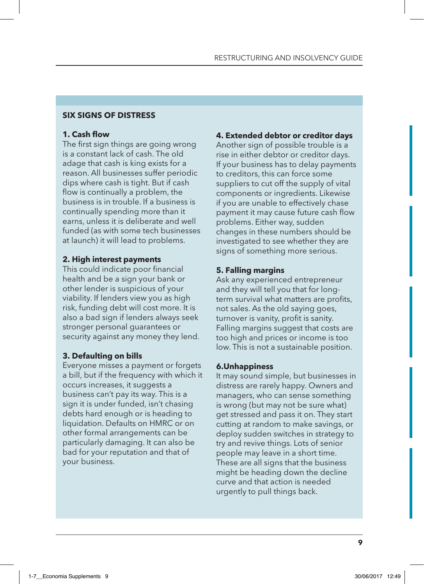## **SIX SIGNS OF DISTRESS**

## **1. Cash flow**

The first sign things are going wrong is a constant lack of cash. The old adage that cash is king exists for a reason. All businesses suffer periodic dips where cash is tight. But if cash flow is continually a problem, the business is in trouble. If a business is continually spending more than it earns, unless it is deliberate and well funded (as with some tech businesses at launch) it will lead to problems.

## **2. High interest payments**

This could indicate poor financial health and be a sign your bank or other lender is suspicious of your viability. If lenders view you as high risk, funding debt will cost more. It is also a bad sign if lenders always seek stronger personal guarantees or security against any money they lend.

## **3. Defaulting on bills**

Everyone misses a payment or forgets a bill, but if the frequency with which it occurs increases, it suggests a business can't pay its way. This is a sign it is under funded, isn't chasing debts hard enough or is heading to liquidation. Defaults on HMRC or on other formal arrangements can be particularly damaging. It can also be bad for your reputation and that of your business.

## **4. Extended debtor or creditor days**

Another sign of possible trouble is a rise in either debtor or creditor days. If your business has to delay payments to creditors, this can force some suppliers to cut off the supply of vital components or ingredients. Likewise if you are unable to effectively chase payment it may cause future cash flow problems. Either way, sudden changes in these numbers should be investigated to see whether they are signs of something more serious.

## **5. Falling margins**

Ask any experienced entrepreneur and they will tell you that for longterm survival what matters are profits, not sales. As the old saying goes, turnover is vanity, profit is sanity. Falling margins suggest that costs are too high and prices or income is too low. This is not a sustainable position.

### **6.Unhappiness**

It may sound simple, but businesses in distress are rarely happy. Owners and managers, who can sense something is wrong (but may not be sure what) get stressed and pass it on. They start cutting at random to make savings, or deploy sudden switches in strategy to try and revive things. Lots of senior people may leave in a short time. These are all signs that the business might be heading down the decline curve and that action is needed urgently to pull things back.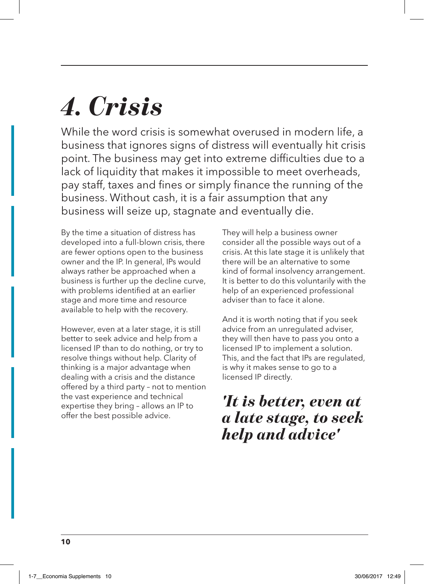## *4. Crisis*

While the word crisis is somewhat overused in modern life, a business that ignores signs of distress will eventually hit crisis point. The business may get into extreme difficulties due to a lack of liquidity that makes it impossible to meet overheads, pay staff, taxes and fines or simply finance the running of the business. Without cash, it is a fair assumption that any business will seize up, stagnate and eventually die.

By the time a situation of distress has developed into a full-blown crisis, there are fewer options open to the business owner and the IP. In general, IPs would always rather be approached when a business is further up the decline curve, with problems identified at an earlier stage and more time and resource available to help with the recovery.

However, even at a later stage, it is still better to seek advice and help from a licensed IP than to do nothing, or try to resolve things without help. Clarity of thinking is a major advantage when dealing with a crisis and the distance offered by a third party – not to mention the vast experience and technical expertise they bring – allows an IP to offer the best possible advice.

They will help a business owner consider all the possible ways out of a crisis. At this late stage it is unlikely that there will be an alternative to some kind of formal insolvency arrangement. It is better to do this voluntarily with the help of an experienced professional adviser than to face it alone.

And it is worth noting that if you seek advice from an unregulated adviser, they will then have to pass you onto a licensed IP to implement a solution. This, and the fact that IPs are regulated, is why it makes sense to go to a licensed IP directly.

## *'It is better, even at a late stage, to seek help and advice'*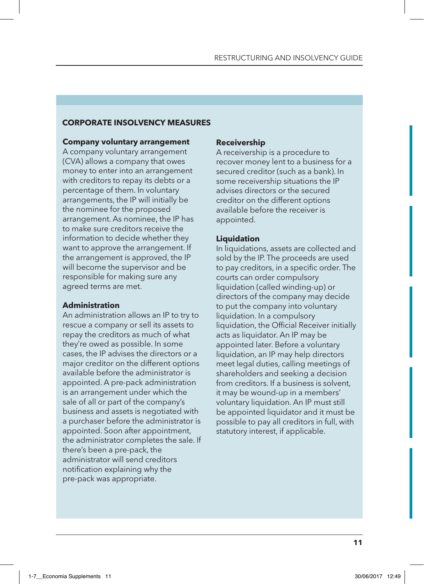## **CORPORATE INSOLVENCY MEASURES**

#### **Company voluntary arrangement**

A company voluntary arrangement (CVA) allows a company that owes money to enter into an arrangement with creditors to repay its debts or a percentage of them. In voluntary arrangements, the IP will initially be the nominee for the proposed arrangement. As nominee, the IP has to make sure creditors receive the information to decide whether they want to approve the arrangement. If the arrangement is approved, the IP will become the supervisor and be responsible for making sure any agreed terms are met.

### **Administration**

An administration allows an IP to try to rescue a company or sell its assets to repay the creditors as much of what they're owed as possible. In some cases, the IP advises the directors or a major creditor on the different options available before the administrator is appointed. A pre-pack administration is an arrangement under which the sale of all or part of the company's business and assets is negotiated with a purchaser before the administrator is appointed. Soon after appointment, the administrator completes the sale. If there's been a pre-pack, the administrator will send creditors notification explaining why the pre-pack was appropriate.

## **Receivership**

A receivership is a procedure to recover money lent to a business for a secured creditor (such as a bank). In some receivership situations the IP advises directors or the secured creditor on the different options available before the receiver is appointed.

## **Liquidation**

In liquidations, assets are collected and sold by the IP. The proceeds are used to pay creditors, in a specific order. The courts can order compulsory liquidation (called winding-up) or directors of the company may decide to put the company into voluntary liquidation. In a compulsory liquidation, the Official Receiver initially acts as liquidator. An IP may be appointed later. Before a voluntary liquidation, an IP may help directors meet legal duties, calling meetings of shareholders and seeking a decision from creditors. If a business is solvent, it may be wound-up in a members' voluntary liquidation. An IP must still be appointed liquidator and it must be possible to pay all creditors in full, with statutory interest, if applicable.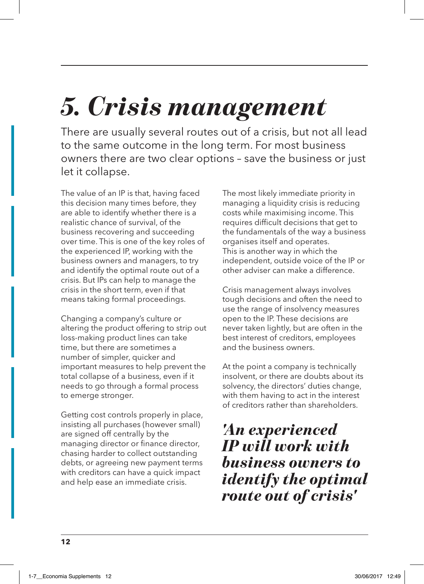## *5. Crisis management*

There are usually several routes out of a crisis, but not all lead to the same outcome in the long term. For most business owners there are two clear options – save the business or just let it collapse.

The value of an IP is that, having faced this decision many times before, they are able to identify whether there is a realistic chance of survival, of the business recovering and succeeding over time. This is one of the key roles of the experienced IP, working with the business owners and managers, to try and identify the optimal route out of a crisis. But IPs can help to manage the crisis in the short term, even if that means taking formal proceedings.

Changing a company's culture or altering the product offering to strip out loss-making product lines can take time, but there are sometimes a number of simpler, quicker and important measures to help prevent the total collapse of a business, even if it needs to go through a formal process to emerge stronger.

Getting cost controls properly in place, insisting all purchases (however small) are signed off centrally by the managing director or finance director, chasing harder to collect outstanding debts, or agreeing new payment terms with creditors can have a quick impact and help ease an immediate crisis.

The most likely immediate priority in managing a liquidity crisis is reducing costs while maximising income. This requires difficult decisions that get to the fundamentals of the way a business organises itself and operates. This is another way in which the independent, outside voice of the IP or other adviser can make a difference.

Crisis management always involves tough decisions and often the need to use the range of insolvency measures open to the IP. These decisions are never taken lightly, but are often in the best interest of creditors, employees and the business owners.

At the point a company is technically insolvent, or there are doubts about its solvency, the directors' duties change, with them having to act in the interest of creditors rather than shareholders.

## *'An experienced IP will work with business owners to identify the optimal route out of crisis'*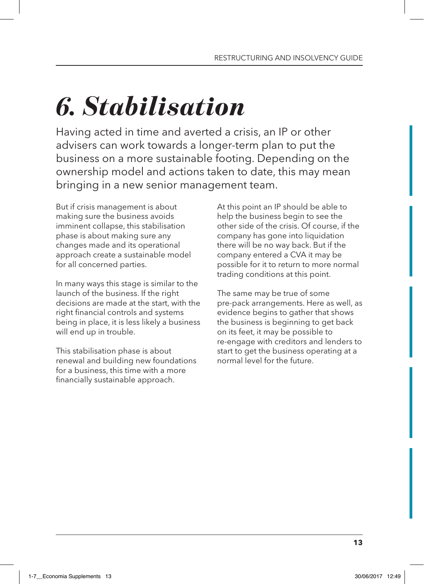## *6. Stabilisation*

Having acted in time and averted a crisis, an IP or other advisers can work towards a longer-term plan to put the business on a more sustainable footing. Depending on the ownership model and actions taken to date, this may mean bringing in a new senior management team.

But if crisis management is about making sure the business avoids imminent collapse, this stabilisation phase is about making sure any changes made and its operational approach create a sustainable model for all concerned parties.

In many ways this stage is similar to the launch of the business. If the right decisions are made at the start, with the right financial controls and systems being in place, it is less likely a business will end up in trouble.

This stabilisation phase is about renewal and building new foundations for a business, this time with a more financially sustainable approach.

At this point an IP should be able to help the business begin to see the other side of the crisis. Of course, if the company has gone into liquidation there will be no way back. But if the company entered a CVA it may be possible for it to return to more normal trading conditions at this point.

The same may be true of some pre-pack arrangements. Here as well, as evidence begins to gather that shows the business is beginning to get back on its feet, it may be possible to re-engage with creditors and lenders to start to get the business operating at a normal level for the future.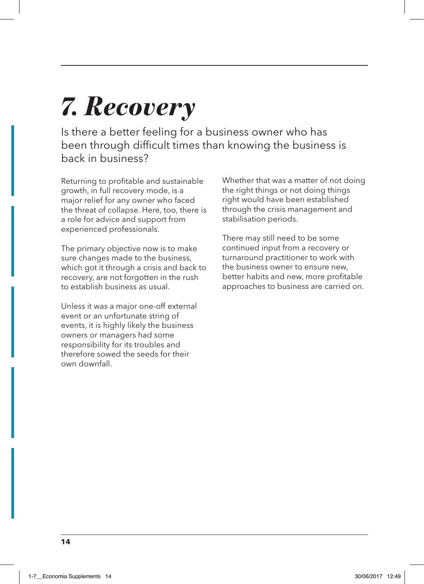## *7. Recovery*

Is there a better feeling for a business owner who has been through difficult times than knowing the business is back in business?

Returning to profitable and sustainable growth, in full recovery mode, is a major relief for any owner who faced the threat of collapse. Here, too, there is a role for advice and support from experienced professionals.

The primary objective now is to make sure changes made to the business, which got it through a crisis and back to recovery, are not forgotten in the rush to establish business as usual.

Unless it was a major one-off external event or an unfortunate string of events, it is highly likely the business owners or managers had some responsibility for its troubles and therefore sowed the seeds for their own downfall.

Whether that was a matter of not doing the right things or not doing things right would have been established through the crisis management and stabilisation periods.

There may still need to be some continued input from a recovery or turnaround practitioner to work with the business owner to ensure new, better habits and new, more profitable approaches to business are carried on.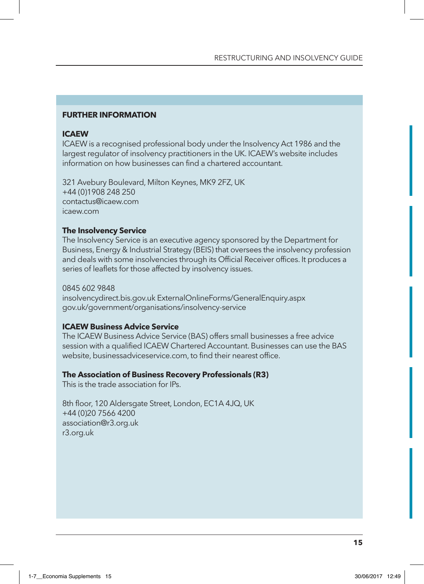## **FURTHER INFORMATION**

## **ICAEW**

ICAEW is a recognised professional body under the Insolvency Act 1986 and the largest regulator of insolvency practitioners in the UK. ICAEW's website includes information on how businesses can find a chartered accountant.

321 Avebury Boulevard, Milton Keynes, MK9 2FZ, UK +44 (0)1908 248 250 contactus@icaew.com icaew.com

## **The Insolvency Service**

The Insolvency Service is an executive agency sponsored by the Department for Business, Energy & Industrial Strategy (BEIS) that oversees the insolvency profession and deals with some insolvencies through its Official Receiver offices. It produces a series of leaflets for those affected by insolvency issues.

0845 602 9848 insolvencydirect.bis.gov.uk ExternalOnlineForms/GeneralEnquiry.aspx gov.uk/government/organisations/insolvency-service

## **ICAEW Business Advice Service**

The ICAEW Business Advice Service (BAS) offers small businesses a free advice session with a qualified ICAEW Chartered Accountant. Businesses can use the BAS website, businessadviceservice.com, to find their nearest office.

### **The Association of Business Recovery Professionals (R3)**

This is the trade association for IPs.

8th floor, 120 Aldersgate Street, London, EC1A 4JQ, UK +44 (0)20 7566 4200 association@r3.org.uk r3.org.uk